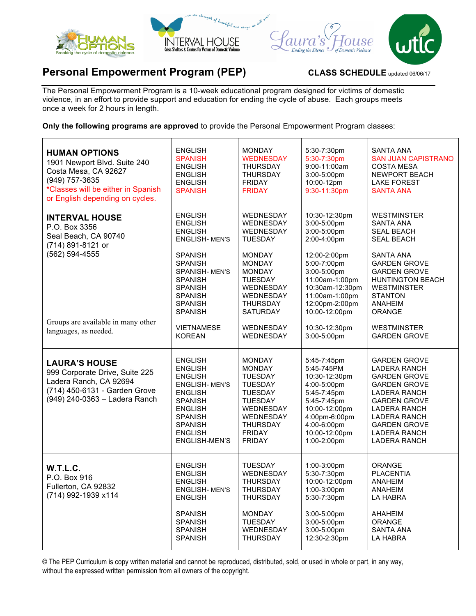

## **Personal Empowerment Program (PEP)** CLASS SCHEDULE updated 06/06/17

The Personal Empowerment Program is a 10-week educational program designed for victims of domestic violence, in an effort to provide support and education for ending the cycle of abuse. Each groups meets once a week for 2 hours in length.

**Only the following programs are approved** to provide the Personal Empowerment Program classes:

| <b>HUMAN OPTIONS</b><br>1901 Newport Blvd. Suite 240<br>Costa Mesa, CA 92627<br>(949) 757-3635<br>*Classes will be either in Spanish<br>or English depending on cycles. | <b>ENGLISH</b><br><b>SPANISH</b><br><b>ENGLISH</b><br><b>ENGLISH</b><br><b>ENGLISH</b><br><b>SPANISH</b>                                                                                                           | <b>MONDAY</b><br><b>WEDNESDAY</b><br><b>THURSDAY</b><br><b>THURSDAY</b><br><b>FRIDAY</b><br><b>FRIDAY</b>                                                                                                | 5:30-7:30pm<br>5:30-7:30pm<br>9:00-11:00am<br>3:00-5:00pm<br>10:00-12pm<br>9:30-11:30pm                                                                                                            | SANTA ANA<br><b>SAN JUAN CAPISTRANO</b><br><b>COSTA MESA</b><br><b>NEWPORT BEACH</b><br><b>LAKE FOREST</b><br><b>SANTA ANA</b>                                                                                                                            |
|-------------------------------------------------------------------------------------------------------------------------------------------------------------------------|--------------------------------------------------------------------------------------------------------------------------------------------------------------------------------------------------------------------|----------------------------------------------------------------------------------------------------------------------------------------------------------------------------------------------------------|----------------------------------------------------------------------------------------------------------------------------------------------------------------------------------------------------|-----------------------------------------------------------------------------------------------------------------------------------------------------------------------------------------------------------------------------------------------------------|
| <b>INTERVAL HOUSE</b><br>P.O. Box 3356<br>Seal Beach, CA 90740<br>(714) 891-8121 or<br>$(562) 594 - 4555$<br>Groups are available in many other                         | <b>ENGLISH</b><br><b>ENGLISH</b><br><b>ENGLISH</b><br><b>ENGLISH-MEN'S</b><br><b>SPANISH</b><br><b>SPANISH</b><br>SPANISH-MEN'S<br><b>SPANISH</b><br>SPANISH<br><b>SPANISH</b><br><b>SPANISH</b><br><b>SPANISH</b> | WEDNESDAY<br>WEDNESDAY<br><b>WEDNESDAY</b><br><b>TUESDAY</b><br><b>MONDAY</b><br><b>MONDAY</b><br><b>MONDAY</b><br><b>TUESDAY</b><br>WEDNESDAY<br><b>WEDNESDAY</b><br><b>THURSDAY</b><br><b>SATURDAY</b> | 10:30-12:30pm<br>3:00-5:00pm<br>3:00-5:00pm<br>2:00-4:00pm<br>12:00-2:00pm<br>5:00-7:00pm<br>3:00-5:00pm<br>11:00am-1:00pm<br>10:30am-12:30pm<br>11:00am-1:00pm<br>12:00pm-2:00pm<br>10:00-12:00pm | <b>WESTMINSTER</b><br><b>SANTA ANA</b><br><b>SEAL BEACH</b><br><b>SEAL BEACH</b><br><b>SANTA ANA</b><br><b>GARDEN GROVE</b><br><b>GARDEN GROVE</b><br><b>HUNTINGTON BEACH</b><br><b>WESTMINSTER</b><br><b>STANTON</b><br><b>ANAHEIM</b><br><b>ORANGE</b>  |
| languages, as needed.                                                                                                                                                   | <b>VIETNAMESE</b><br><b>KOREAN</b>                                                                                                                                                                                 | WEDNESDAY<br>WEDNESDAY                                                                                                                                                                                   | 10:30-12:30pm<br>3:00-5:00pm                                                                                                                                                                       | <b>WESTMINSTER</b><br><b>GARDEN GROVE</b>                                                                                                                                                                                                                 |
| <b>LAURA'S HOUSE</b><br>999 Corporate Drive, Suite 225<br>Ladera Ranch, CA 92694<br>(714) 450-6131 - Garden Grove<br>(949) 240-0363 - Ladera Ranch                      | <b>ENGLISH</b><br><b>ENGLISH</b><br><b>ENGLISH</b><br><b>ENGLISH-MEN'S</b><br><b>ENGLISH</b><br><b>SPANISH</b><br><b>ENGLISH</b><br><b>SPANISH</b><br><b>SPANISH</b><br><b>ENGLISH</b><br>ENGLISH-MEN'S            | <b>MONDAY</b><br><b>MONDAY</b><br><b>TUESDAY</b><br><b>TUESDAY</b><br><b>TUESDAY</b><br><b>TUESDAY</b><br>WEDNESDAY<br><b>WEDNESDAY</b><br><b>THURSDAY</b><br><b>FRIDAY</b><br><b>FRIDAY</b>             | 5:45-7:45pm<br>5:45-745PM<br>10:30-12:30pm<br>4:00-5:00pm<br>5:45-7:45pm<br>5:45-7:45pm<br>10:00-12:00pm<br>4:00pm-6:00pm<br>4:00-6:00pm<br>10:00-12:00pm<br>1:00-2:00pm                           | <b>GARDEN GROVE</b><br><b>LADERA RANCH</b><br><b>GARDEN GROVE</b><br><b>GARDEN GROVE</b><br><b>LADERA RANCH</b><br><b>GARDEN GROVE</b><br><b>LADERA RANCH</b><br><b>LADERA RANCH</b><br><b>GARDEN GROVE</b><br><b>LADERA RANCH</b><br><b>LADERA RANCH</b> |
| W.T.L.C.<br>P.O. Box 916<br>Fullerton, CA 92832<br>(714) 992-1939 x114                                                                                                  | <b>ENGLISH</b><br><b>ENGLISH</b><br><b>ENGLISH</b><br>ENGLISH- MEN'S<br><b>ENGLISH</b><br><b>SPANISH</b><br><b>SPANISH</b><br><b>SPANISH</b><br><b>SPANISH</b>                                                     | <b>TUESDAY</b><br>WEDNESDAY<br><b>THURSDAY</b><br>THURSDAY<br><b>THURSDAY</b><br><b>MONDAY</b><br><b>TUESDAY</b><br>WEDNESDAY<br>THURSDAY                                                                | 1:00-3:00pm<br>5:30-7:30pm<br>10:00-12:00pm<br>$1:00-3:00$ pm<br>5:30-7:30pm<br>3:00-5:00pm<br>3:00-5:00pm<br>3:00-5:00pm<br>12:30-2:30pm                                                          | <b>ORANGE</b><br><b>PLACENTIA</b><br><b>ANAHEIM</b><br>ANAHEIM<br>LA HABRA<br><b>AHAHEIM</b><br>ORANGE<br><b>SANTA ANA</b><br>LA HABRA                                                                                                                    |

© The PEP Curriculum is copy written material and cannot be reproduced, distributed, sold, or used in whole or part, in any way, without the expressed written permission from all owners of the copyright.